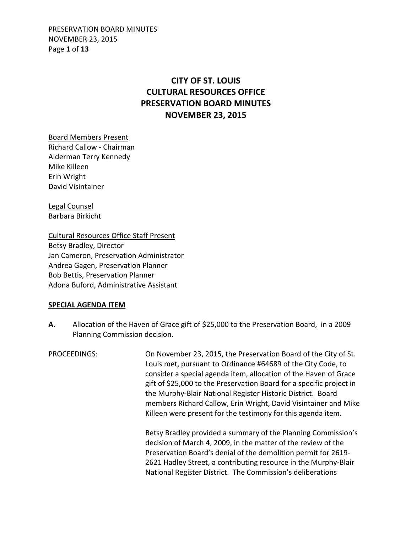PRESERVATION BOARD MINUTES NOVEMBER 23, 2015 Page **1** of **13**

# **CITY OF ST. LOUIS CULTURAL RESOURCES OFFICE PRESERVATION BOARD MINUTES NOVEMBER 23, 2015**

Board Members Present Richard Callow - Chairman Alderman Terry Kennedy Mike Killeen Erin Wright David Visintainer

Legal Counsel Barbara Birkicht

Cultural Resources Office Staff Present Betsy Bradley, Director Jan Cameron, Preservation Administrator Andrea Gagen, Preservation Planner Bob Bettis, Preservation Planner Adona Buford, Administrative Assistant

### **SPECIAL AGENDA ITEM**

**A**. Allocation of the Haven of Grace gift of \$25,000 to the Preservation Board, in a 2009 Planning Commission decision.

PROCEEDINGS: On November 23, 2015, the Preservation Board of the City of St. Louis met, pursuant to Ordinance #64689 of the City Code, to consider a special agenda item, allocation of the Haven of Grace gift of \$25,000 to the Preservation Board for a specific project in the Murphy-Blair National Register Historic District. Board members Richard Callow, Erin Wright, David Visintainer and Mike Killeen were present for the testimony for this agenda item. Betsy Bradley provided a summary of the Planning Commission's decision of March 4, 2009, in the matter of the review of the

 Preservation Board's denial of the demolition permit for 2619- 2621 Hadley Street, a contributing resource in the Murphy-Blair National Register District. The Commission's deliberations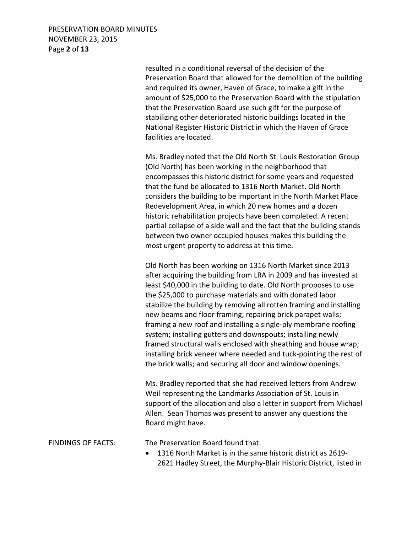PRESERVATION BOARD MINUTES NOVEMBER 23, 2015 Page **2** of **13**

> resulted in a conditional reversal of the decision of the Preservation Board that allowed for the demolition of the building and required its owner, Haven of Grace, to make a gift in the amount of \$25,000 to the Preservation Board with the stipulation that the Preservation Board use such gift for the purpose of stabilizing other deteriorated historic buildings located in the National Register Historic District in which the Haven of Grace facilities are located.

> Ms. Bradley noted that the Old North St. Louis Restoration Group (Old North) has been working in the neighborhood that encompasses this historic district for some years and requested that the fund be allocated to 1316 North Market. Old North considers the building to be important in the North Market Place Redevelopment Area, in which 20 new homes and a dozen historic rehabilitation projects have been completed. A recent partial collapse of a side wall and the fact that the building stands between two owner occupied houses makes this building the most urgent property to address at this time.

> Old North has been working on 1316 North Market since 2013 after acquiring the building from LRA in 2009 and has invested at least \$40,000 in the building to date. Old North proposes to use the \$25,000 to purchase materials and with donated labor stabilize the building by removing all rotten framing and installing new beams and floor framing; repairing brick parapet walls; framing a new roof and installing a single-ply membrane roofing system; installing gutters and downspouts; installing newly framed structural walls enclosed with sheathing and house wrap; installing brick veneer where needed and tuck-pointing the rest of the brick walls; and securing all door and window openings.

> Ms. Bradley reported that she had received letters from Andrew Weil representing the Landmarks Association of St. Louis in support of the allocation and also a letter in support from Michael Allen. Sean Thomas was present to answer any questions the Board might have.

FINDINGS OF FACTS: The Preservation Board found that:

• 1316 North Market is in the same historic district as 2619- 2621 Hadley Street, the Murphy-Blair Historic District, listed in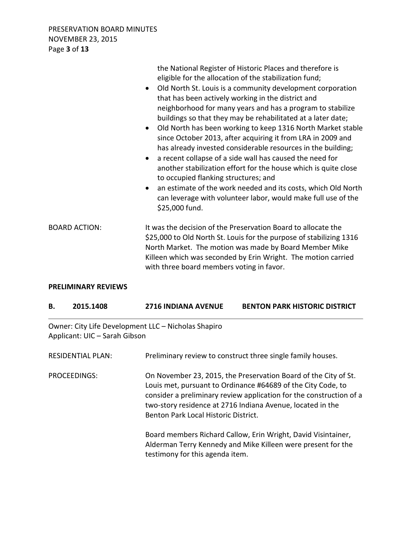PRESERVATION BOARD MINUTES NOVEMBER 23, 2015 Page **3** of **13**

|                      | the National Register of Historic Places and therefore is<br>eligible for the allocation of the stabilization fund;<br>Old North St. Louis is a community development corporation<br>$\bullet$<br>that has been actively working in the district and<br>neighborhood for many years and has a program to stabilize<br>buildings so that they may be rehabilitated at a later date;<br>Old North has been working to keep 1316 North Market stable<br>$\bullet$<br>since October 2013, after acquiring it from LRA in 2009 and<br>has already invested considerable resources in the building;<br>a recent collapse of a side wall has caused the need for<br>$\bullet$<br>another stabilization effort for the house which is quite close<br>to occupied flanking structures; and<br>an estimate of the work needed and its costs, which Old North<br>$\bullet$<br>can leverage with volunteer labor, would make full use of the<br>\$25,000 fund. |
|----------------------|----------------------------------------------------------------------------------------------------------------------------------------------------------------------------------------------------------------------------------------------------------------------------------------------------------------------------------------------------------------------------------------------------------------------------------------------------------------------------------------------------------------------------------------------------------------------------------------------------------------------------------------------------------------------------------------------------------------------------------------------------------------------------------------------------------------------------------------------------------------------------------------------------------------------------------------------------|
| <b>BOARD ACTION:</b> | It was the decision of the Preservation Board to allocate the<br>\$25,000 to Old North St. Louis for the purpose of stabilizing 1316<br>North Market. The motion was made by Board Member Mike<br>Killeen which was seconded by Erin Wright. The motion carried<br>with three board members voting in favor.                                                                                                                                                                                                                                                                                                                                                                                                                                                                                                                                                                                                                                       |

#### **PRELIMINARY REVIEWS**

| 2015.1408 | <b>2716 INDIANA AVENUE</b> | <b>BENTON PARK HISTORIC DISTRICT</b> |
|-----------|----------------------------|--------------------------------------|
|           |                            |                                      |

Owner: City Life Development LLC – Nicholas Shapiro Applicant: UIC – Sarah Gibson

| <b>RESIDENTIAL PLAN:</b> | Preliminary review to construct three single family houses.                                                                                                                                                                                                                                                  |
|--------------------------|--------------------------------------------------------------------------------------------------------------------------------------------------------------------------------------------------------------------------------------------------------------------------------------------------------------|
| PROCEEDINGS:             | On November 23, 2015, the Preservation Board of the City of St.<br>Louis met, pursuant to Ordinance #64689 of the City Code, to<br>consider a preliminary review application for the construction of a<br>two-story residence at 2716 Indiana Avenue, located in the<br>Benton Park Local Historic District. |
|                          | Board members Richard Callow, Erin Wright, David Visintainer,<br>Alderman Terry Kennedy and Mike Killeen were present for the<br>testimony for this agenda item.                                                                                                                                             |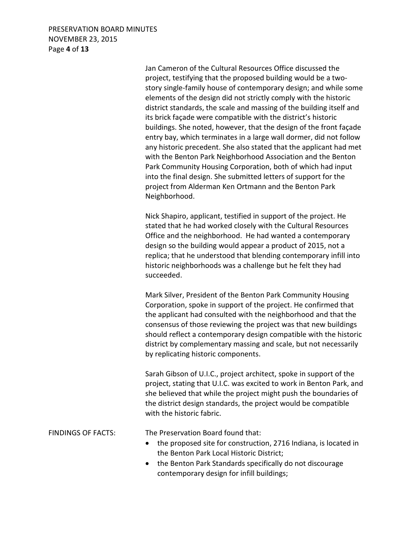### PRESERVATION BOARD MINUTES NOVEMBER 23, 2015 Page **4** of **13**

 Jan Cameron of the Cultural Resources Office discussed the project, testifying that the proposed building would be a two story single-family house of contemporary design; and while some elements of the design did not strictly comply with the historic district standards, the scale and massing of the building itself and its brick façade were compatible with the district's historic buildings. She noted, however, that the design of the front façade entry bay, which terminates in a large wall dormer, did not follow any historic precedent. She also stated that the applicant had met with the Benton Park Neighborhood Association and the Benton Park Community Housing Corporation, both of which had input into the final design. She submitted letters of support for the project from Alderman Ken Ortmann and the Benton Park Neighborhood.

 Nick Shapiro, applicant, testified in support of the project. He stated that he had worked closely with the Cultural Resources Office and the neighborhood. He had wanted a contemporary design so the building would appear a product of 2015, not a replica; that he understood that blending contemporary infill into historic neighborhoods was a challenge but he felt they had succeeded.

 Mark Silver, President of the Benton Park Community Housing Corporation, spoke in support of the project. He confirmed that the applicant had consulted with the neighborhood and that the consensus of those reviewing the project was that new buildings should reflect a contemporary design compatible with the historic district by complementary massing and scale, but not necessarily by replicating historic components.

 Sarah Gibson of U.I.C., project architect, spoke in support of the project, stating that U.I.C. was excited to work in Benton Park, and she believed that while the project might push the boundaries of the district design standards, the project would be compatible with the historic fabric.

FINDINGS OF FACTS: The Preservation Board found that:

- the proposed site for construction, 2716 Indiana, is located in the Benton Park Local Historic District;
- the Benton Park Standards specifically do not discourage contemporary design for infill buildings;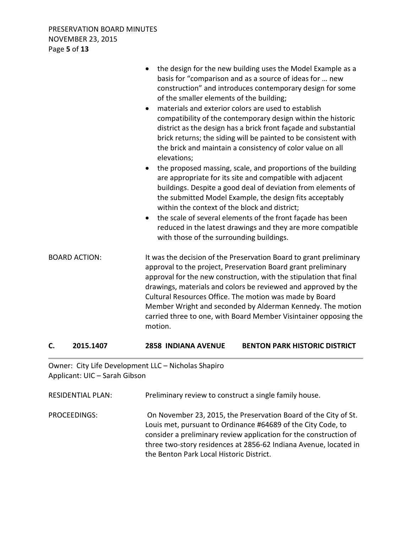|                      | the design for the new building uses the Model Example as a<br>basis for "comparison and as a source of ideas for  new<br>construction" and introduces contemporary design for some<br>of the smaller elements of the building;<br>materials and exterior colors are used to establish<br>$\bullet$<br>compatibility of the contemporary design within the historic<br>district as the design has a brick front façade and substantial<br>brick returns; the siding will be painted to be consistent with<br>the brick and maintain a consistency of color value on all<br>elevations;<br>the proposed massing, scale, and proportions of the building<br>are appropriate for its site and compatible with adjacent<br>buildings. Despite a good deal of deviation from elements of<br>the submitted Model Example, the design fits acceptably<br>within the context of the block and district;<br>the scale of several elements of the front façade has been<br>$\bullet$<br>reduced in the latest drawings and they are more compatible<br>with those of the surrounding buildings. |
|----------------------|---------------------------------------------------------------------------------------------------------------------------------------------------------------------------------------------------------------------------------------------------------------------------------------------------------------------------------------------------------------------------------------------------------------------------------------------------------------------------------------------------------------------------------------------------------------------------------------------------------------------------------------------------------------------------------------------------------------------------------------------------------------------------------------------------------------------------------------------------------------------------------------------------------------------------------------------------------------------------------------------------------------------------------------------------------------------------------------|
| <b>BOARD ACTION:</b> | It was the decision of the Preservation Board to grant preliminary<br>approval to the project, Preservation Board grant preliminary<br>approval for the new construction, with the stipulation that final<br>drawings, materials and colors be reviewed and approved by the<br>Cultural Resources Office. The motion was made by Board<br>Member Wright and seconded by Alderman Kennedy. The motion<br>carried three to one, with Board Member Visintainer opposing the<br>motion.                                                                                                                                                                                                                                                                                                                                                                                                                                                                                                                                                                                                   |

### **C. 2015.1407 2858 INDIANA AVENUE BENTON PARK HISTORIC DISTRICT**

Owner: City Life Development LLC – Nicholas Shapiro Applicant: UIC – Sarah Gibson

RESIDENTIAL PLAN: Preliminary review to construct a single family house. PROCEEDINGS: On November 23, 2015, the Preservation Board of the City of St. Louis met, pursuant to Ordinance #64689 of the City Code, to consider a preliminary review application for the construction of three two-story residences at 2856-62 Indiana Avenue, located in the Benton Park Local Historic District.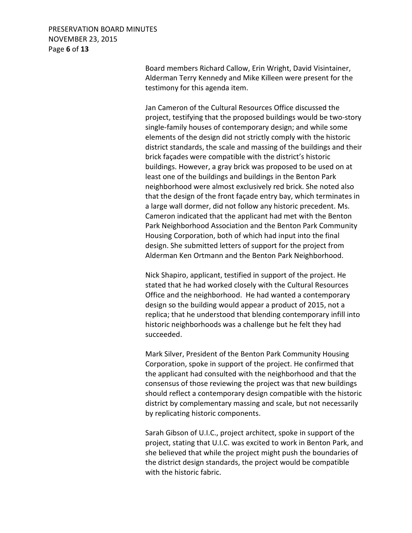## PRESERVATION BOARD MINUTES NOVEMBER 23, 2015 Page **6** of **13**

 Board members Richard Callow, Erin Wright, David Visintainer, Alderman Terry Kennedy and Mike Killeen were present for the testimony for this agenda item.

 Jan Cameron of the Cultural Resources Office discussed the project, testifying that the proposed buildings would be two-story single-family houses of contemporary design; and while some elements of the design did not strictly comply with the historic district standards, the scale and massing of the buildings and their brick façades were compatible with the district's historic buildings. However, a gray brick was proposed to be used on at least one of the buildings and buildings in the Benton Park neighborhood were almost exclusively red brick. She noted also that the design of the front façade entry bay, which terminates in a large wall dormer, did not follow any historic precedent. Ms. Cameron indicated that the applicant had met with the Benton Park Neighborhood Association and the Benton Park Community Housing Corporation, both of which had input into the final design. She submitted letters of support for the project from Alderman Ken Ortmann and the Benton Park Neighborhood.

 Nick Shapiro, applicant, testified in support of the project. He stated that he had worked closely with the Cultural Resources Office and the neighborhood. He had wanted a contemporary design so the building would appear a product of 2015, not a replica; that he understood that blending contemporary infill into historic neighborhoods was a challenge but he felt they had succeeded.

 Mark Silver, President of the Benton Park Community Housing Corporation, spoke in support of the project. He confirmed that the applicant had consulted with the neighborhood and that the consensus of those reviewing the project was that new buildings should reflect a contemporary design compatible with the historic district by complementary massing and scale, but not necessarily by replicating historic components.

 Sarah Gibson of U.I.C., project architect, spoke in support of the project, stating that U.I.C. was excited to work in Benton Park, and she believed that while the project might push the boundaries of the district design standards, the project would be compatible with the historic fabric.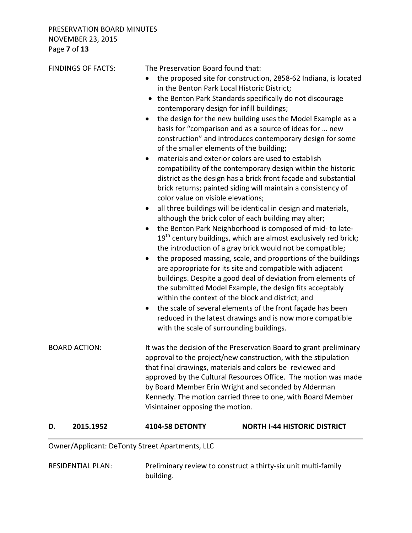| Owner/Applicant: DeTonty Street Apartments, LLC |                                                                                                                                                                                                                                                                                                                       |                                                                                                                                                                                                                                                                                                                                                                                                                                                                                                                                                                                                                                                                                                                                                                                                                                                                                                                                                                                                                                                                                                                                                                                                                                                                                                                                                          |
|-------------------------------------------------|-----------------------------------------------------------------------------------------------------------------------------------------------------------------------------------------------------------------------------------------------------------------------------------------------------------------------|----------------------------------------------------------------------------------------------------------------------------------------------------------------------------------------------------------------------------------------------------------------------------------------------------------------------------------------------------------------------------------------------------------------------------------------------------------------------------------------------------------------------------------------------------------------------------------------------------------------------------------------------------------------------------------------------------------------------------------------------------------------------------------------------------------------------------------------------------------------------------------------------------------------------------------------------------------------------------------------------------------------------------------------------------------------------------------------------------------------------------------------------------------------------------------------------------------------------------------------------------------------------------------------------------------------------------------------------------------|
| 2015.1952<br>D.                                 | <b>4104-58 DETONTY</b>                                                                                                                                                                                                                                                                                                | <b>NORTH I-44 HISTORIC DISTRICT</b>                                                                                                                                                                                                                                                                                                                                                                                                                                                                                                                                                                                                                                                                                                                                                                                                                                                                                                                                                                                                                                                                                                                                                                                                                                                                                                                      |
| <b>BOARD ACTION:</b>                            | Visintainer opposing the motion.                                                                                                                                                                                                                                                                                      | It was the decision of the Preservation Board to grant preliminary<br>approval to the project/new construction, with the stipulation<br>that final drawings, materials and colors be reviewed and<br>approved by the Cultural Resources Office. The motion was made<br>by Board Member Erin Wright and seconded by Alderman<br>Kennedy. The motion carried three to one, with Board Member                                                                                                                                                                                                                                                                                                                                                                                                                                                                                                                                                                                                                                                                                                                                                                                                                                                                                                                                                               |
| <b>FINDINGS OF FACTS:</b>                       | The Preservation Board found that:<br>in the Benton Park Local Historic District;<br>contemporary design for infill buildings;<br>of the smaller elements of the building;<br>$\bullet$<br>color value on visible elevations;<br>$\bullet$<br>$\bullet$<br>٠<br>$\bullet$<br>with the scale of surrounding buildings. | the proposed site for construction, 2858-62 Indiana, is located<br>the Benton Park Standards specifically do not discourage<br>the design for the new building uses the Model Example as a<br>basis for "comparison and as a source of ideas for  new<br>construction" and introduces contemporary design for some<br>materials and exterior colors are used to establish<br>compatibility of the contemporary design within the historic<br>district as the design has a brick front façade and substantial<br>brick returns; painted siding will maintain a consistency of<br>all three buildings will be identical in design and materials,<br>although the brick color of each building may alter;<br>the Benton Park Neighborhood is composed of mid- to late-<br>19 <sup>th</sup> century buildings, which are almost exclusively red brick;<br>the introduction of a gray brick would not be compatible;<br>the proposed massing, scale, and proportions of the buildings<br>are appropriate for its site and compatible with adjacent<br>buildings. Despite a good deal of deviation from elements of<br>the submitted Model Example, the design fits acceptably<br>within the context of the block and district; and<br>the scale of several elements of the front façade has been<br>reduced in the latest drawings and is now more compatible |

RESIDENTIAL PLAN: Preliminary review to construct a thirty-six unit multi-family building.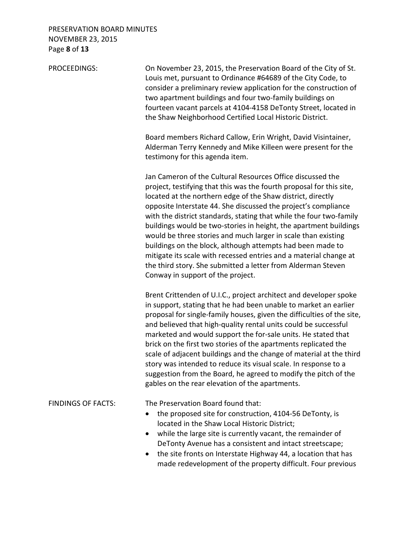# PRESERVATION BOARD MINUTES NOVEMBER 23, 2015 Page **8** of **13**

| PROCEEDINGS:              | On November 23, 2015, the Preservation Board of the City of St.<br>Louis met, pursuant to Ordinance #64689 of the City Code, to<br>consider a preliminary review application for the construction of<br>two apartment buildings and four two-family buildings on<br>fourteen vacant parcels at 4104-4158 DeTonty Street, located in<br>the Shaw Neighborhood Certified Local Historic District.                                                                                                                                                                                                                                                                                                                          |
|---------------------------|--------------------------------------------------------------------------------------------------------------------------------------------------------------------------------------------------------------------------------------------------------------------------------------------------------------------------------------------------------------------------------------------------------------------------------------------------------------------------------------------------------------------------------------------------------------------------------------------------------------------------------------------------------------------------------------------------------------------------|
|                           | Board members Richard Callow, Erin Wright, David Visintainer,<br>Alderman Terry Kennedy and Mike Killeen were present for the<br>testimony for this agenda item.                                                                                                                                                                                                                                                                                                                                                                                                                                                                                                                                                         |
|                           | Jan Cameron of the Cultural Resources Office discussed the<br>project, testifying that this was the fourth proposal for this site,<br>located at the northern edge of the Shaw district, directly<br>opposite Interstate 44. She discussed the project's compliance<br>with the district standards, stating that while the four two-family<br>buildings would be two-stories in height, the apartment buildings<br>would be three stories and much larger in scale than existing<br>buildings on the block, although attempts had been made to<br>mitigate its scale with recessed entries and a material change at<br>the third story. She submitted a letter from Alderman Steven<br>Conway in support of the project. |
|                           | Brent Crittenden of U.I.C., project architect and developer spoke<br>in support, stating that he had been unable to market an earlier<br>proposal for single-family houses, given the difficulties of the site,<br>and believed that high-quality rental units could be successful<br>marketed and would support the for-sale units. He stated that<br>brick on the first two stories of the apartments replicated the<br>scale of adjacent buildings and the change of material at the third<br>story was intended to reduce its visual scale. In response to a<br>suggestion from the Board, he agreed to modify the pitch of the<br>gables on the rear elevation of the apartments.                                   |
| <b>FINDINGS OF FACTS:</b> | The Preservation Board found that:<br>the proposed site for construction, 4104-56 DeTonty, is<br>located in the Shaw Local Historic District;<br>while the large site is currently vacant, the remainder of<br>DeTonty Avenue has a consistent and intact streetscape;<br>the site fronts on Interstate Highway 44, a location that has<br>made redevelopment of the property difficult. Four previous                                                                                                                                                                                                                                                                                                                   |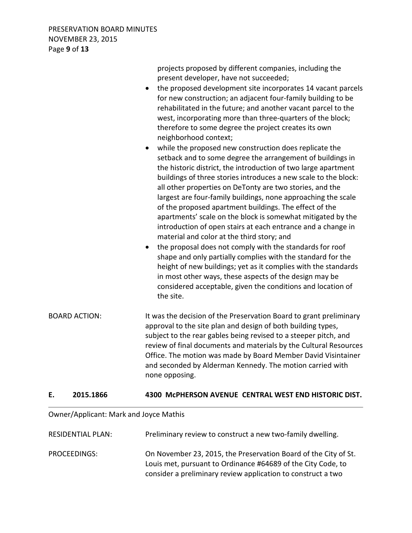PRESERVATION BOARD MINUTES NOVEMBER 23, 2015 Page **9** of **13**

|                      | projects proposed by different companies, including the<br>present developer, have not succeeded;<br>the proposed development site incorporates 14 vacant parcels<br>$\bullet$<br>for new construction; an adjacent four-family building to be<br>rehabilitated in the future; and another vacant parcel to the<br>west, incorporating more than three-quarters of the block;<br>therefore to some degree the project creates its own<br>neighborhood context;<br>while the proposed new construction does replicate the<br>$\bullet$<br>setback and to some degree the arrangement of buildings in<br>the historic district, the introduction of two large apartment<br>buildings of three stories introduces a new scale to the block:<br>all other properties on DeTonty are two stories, and the<br>largest are four-family buildings, none approaching the scale<br>of the proposed apartment buildings. The effect of the<br>apartments' scale on the block is somewhat mitigated by the<br>introduction of open stairs at each entrance and a change in<br>material and color at the third story; and<br>the proposal does not comply with the standards for roof<br>$\bullet$<br>shape and only partially complies with the standard for the<br>height of new buildings; yet as it complies with the standards<br>in most other ways, these aspects of the design may be<br>considered acceptable, given the conditions and location of<br>the site. |
|----------------------|--------------------------------------------------------------------------------------------------------------------------------------------------------------------------------------------------------------------------------------------------------------------------------------------------------------------------------------------------------------------------------------------------------------------------------------------------------------------------------------------------------------------------------------------------------------------------------------------------------------------------------------------------------------------------------------------------------------------------------------------------------------------------------------------------------------------------------------------------------------------------------------------------------------------------------------------------------------------------------------------------------------------------------------------------------------------------------------------------------------------------------------------------------------------------------------------------------------------------------------------------------------------------------------------------------------------------------------------------------------------------------------------------------------------------------------------------------------|
| <b>BOARD ACTION:</b> | It was the decision of the Preservation Board to grant preliminary<br>approval to the site plan and design of both building types,<br>subject to the rear gables being revised to a steeper pitch, and<br>review of final documents and materials by the Cultural Resources<br>Office. The motion was made by Board Member David Visintainer<br>and seconded by Alderman Kennedy. The motion carried with<br>none opposing.                                                                                                                                                                                                                                                                                                                                                                                                                                                                                                                                                                                                                                                                                                                                                                                                                                                                                                                                                                                                                                  |

#### **E. 2015.1866 4300 McPHERSON AVENUE CENTRAL WEST END HISTORIC DIST.**

### Owner/Applicant: Mark and Joyce Mathis

| <b>RESIDENTIAL PLAN:</b> | Preliminary review to construct a new two-family dwelling.                                                                                                                                      |
|--------------------------|-------------------------------------------------------------------------------------------------------------------------------------------------------------------------------------------------|
| PROCEEDINGS:             | On November 23, 2015, the Preservation Board of the City of St.<br>Louis met, pursuant to Ordinance #64689 of the City Code, to<br>consider a preliminary review application to construct a two |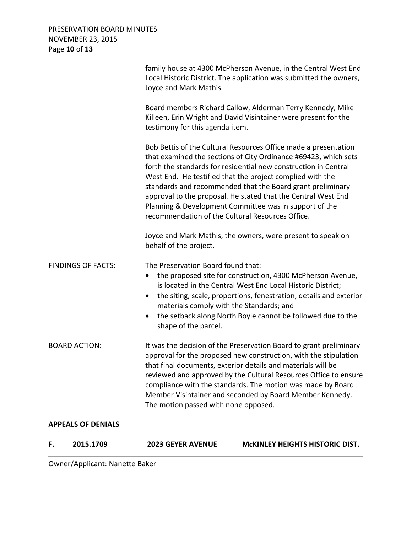PRESERVATION BOARD MINUTES NOVEMBER 23, 2015 Page **10** of **13**

| F.                        | 2015.1709                 | <b>2023 GEYER AVENUE</b>                                                                                            | <b>MCKINLEY HEIGHTS HISTORIC DIST.</b>                                                                                                                                                                                                                                                                                                                                                                                                                      |
|---------------------------|---------------------------|---------------------------------------------------------------------------------------------------------------------|-------------------------------------------------------------------------------------------------------------------------------------------------------------------------------------------------------------------------------------------------------------------------------------------------------------------------------------------------------------------------------------------------------------------------------------------------------------|
|                           | <b>APPEALS OF DENIALS</b> |                                                                                                                     |                                                                                                                                                                                                                                                                                                                                                                                                                                                             |
|                           | <b>BOARD ACTION:</b>      | The motion passed with none opposed.                                                                                | It was the decision of the Preservation Board to grant preliminary<br>approval for the proposed new construction, with the stipulation<br>that final documents, exterior details and materials will be<br>reviewed and approved by the Cultural Resources Office to ensure<br>compliance with the standards. The motion was made by Board<br>Member Visintainer and seconded by Board Member Kennedy.                                                       |
| <b>FINDINGS OF FACTS:</b> |                           | The Preservation Board found that:<br>$\bullet$<br>materials comply with the Standards; and<br>shape of the parcel. | the proposed site for construction, 4300 McPherson Avenue,<br>is located in the Central West End Local Historic District;<br>the siting, scale, proportions, fenestration, details and exterior<br>the setback along North Boyle cannot be followed due to the                                                                                                                                                                                              |
|                           |                           | behalf of the project.                                                                                              | Joyce and Mark Mathis, the owners, were present to speak on                                                                                                                                                                                                                                                                                                                                                                                                 |
|                           |                           | recommendation of the Cultural Resources Office.                                                                    | Bob Bettis of the Cultural Resources Office made a presentation<br>that examined the sections of City Ordinance #69423, which sets<br>forth the standards for residential new construction in Central<br>West End. He testified that the project complied with the<br>standards and recommended that the Board grant preliminary<br>approval to the proposal. He stated that the Central West End<br>Planning & Development Committee was in support of the |
|                           |                           | testimony for this agenda item.                                                                                     | Board members Richard Callow, Alderman Terry Kennedy, Mike<br>Killeen, Erin Wright and David Visintainer were present for the                                                                                                                                                                                                                                                                                                                               |
|                           |                           | Joyce and Mark Mathis.                                                                                              | family house at 4300 McPherson Avenue, in the Central West End<br>Local Historic District. The application was submitted the owners,                                                                                                                                                                                                                                                                                                                        |

Owner/Applicant: Nanette Baker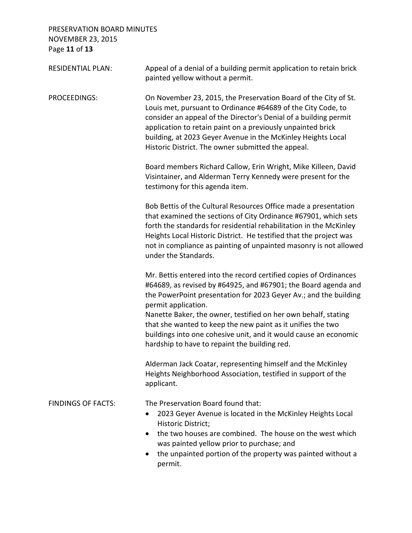PRESERVATION BOARD MINUTES NOVEMBER 23, 2015 Page **11** of **13**

| <b>RESIDENTIAL PLAN:</b>  | Appeal of a denial of a building permit application to retain brick<br>painted yellow without a permit.                                                                                                                                                                                                                                                                                  |
|---------------------------|------------------------------------------------------------------------------------------------------------------------------------------------------------------------------------------------------------------------------------------------------------------------------------------------------------------------------------------------------------------------------------------|
| PROCEEDINGS:              | On November 23, 2015, the Preservation Board of the City of St.<br>Louis met, pursuant to Ordinance #64689 of the City Code, to<br>consider an appeal of the Director's Denial of a building permit<br>application to retain paint on a previously unpainted brick<br>building, at 2023 Geyer Avenue in the McKinley Heights Local<br>Historic District. The owner submitted the appeal. |
|                           | Board members Richard Callow, Erin Wright, Mike Killeen, David<br>Visintainer, and Alderman Terry Kennedy were present for the<br>testimony for this agenda item.                                                                                                                                                                                                                        |
|                           | Bob Bettis of the Cultural Resources Office made a presentation<br>that examined the sections of City Ordinance #67901, which sets<br>forth the standards for residential rehabilitation in the McKinley<br>Heights Local Historic District. He testified that the project was<br>not in compliance as painting of unpainted masonry is not allowed<br>under the Standards.              |
|                           | Mr. Bettis entered into the record certified copies of Ordinances<br>#64689, as revised by #64925, and #67901; the Board agenda and<br>the PowerPoint presentation for 2023 Geyer Av.; and the building<br>permit application.                                                                                                                                                           |
|                           | Nanette Baker, the owner, testified on her own behalf, stating<br>that she wanted to keep the new paint as it unifies the two<br>buildings into one cohesive unit, and it would cause an economic<br>hardship to have to repaint the building red.                                                                                                                                       |
|                           | Alderman Jack Coatar, representing himself and the McKinley<br>Heights Neighborhood Association, testified in support of the<br>applicant.                                                                                                                                                                                                                                               |
| <b>FINDINGS OF FACTS:</b> | The Preservation Board found that:<br>2023 Geyer Avenue is located in the McKinley Heights Local<br>Historic District;<br>the two houses are combined. The house on the west which<br>was painted yellow prior to purchase; and<br>the unpainted portion of the property was painted without a                                                                                           |
|                           | permit.                                                                                                                                                                                                                                                                                                                                                                                  |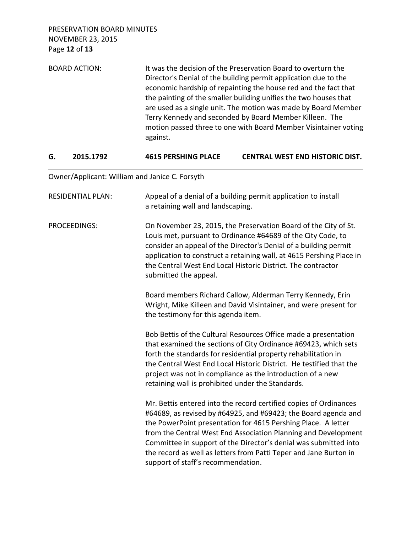PRESERVATION BOARD MINUTES NOVEMBER 23, 2015 Page **12** of **13**

BOARD ACTION: It was the decision of the Preservation Board to overturn the Director's Denial of the building permit application due to the economic hardship of repainting the house red and the fact that the painting of the smaller building unifies the two houses that are used as a single unit. The motion was made by Board Member Terry Kennedy and seconded by Board Member Killeen. The motion passed three to one with Board Member Visintainer voting against.

#### **G. 2015.1792 4615 PERSHING PLACE CENTRAL WEST END HISTORIC DIST.**

Owner/Applicant: William and Janice C. Forsyth

| <b>RESIDENTIAL PLAN:</b> | Appeal of a denial of a building permit application to install<br>a retaining wall and landscaping.                                                                                                                                                                                                                                                                                                                                                   |
|--------------------------|-------------------------------------------------------------------------------------------------------------------------------------------------------------------------------------------------------------------------------------------------------------------------------------------------------------------------------------------------------------------------------------------------------------------------------------------------------|
| <b>PROCEEDINGS:</b>      | On November 23, 2015, the Preservation Board of the City of St.<br>Louis met, pursuant to Ordinance #64689 of the City Code, to<br>consider an appeal of the Director's Denial of a building permit<br>application to construct a retaining wall, at 4615 Pershing Place in<br>the Central West End Local Historic District. The contractor<br>submitted the appeal.                                                                                  |
|                          | Board members Richard Callow, Alderman Terry Kennedy, Erin<br>Wright, Mike Killeen and David Visintainer, and were present for<br>the testimony for this agenda item.                                                                                                                                                                                                                                                                                 |
|                          | Bob Bettis of the Cultural Resources Office made a presentation<br>that examined the sections of City Ordinance #69423, which sets<br>forth the standards for residential property rehabilitation in<br>the Central West End Local Historic District. He testified that the<br>project was not in compliance as the introduction of a new<br>retaining wall is prohibited under the Standards.                                                        |
|                          | Mr. Bettis entered into the record certified copies of Ordinances<br>#64689, as revised by #64925, and #69423; the Board agenda and<br>the PowerPoint presentation for 4615 Pershing Place. A letter<br>from the Central West End Association Planning and Development<br>Committee in support of the Director's denial was submitted into<br>the record as well as letters from Patti Teper and Jane Burton in<br>support of staff's recommendation. |